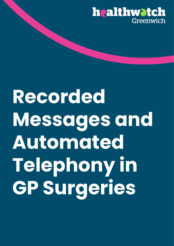

# **Recorded Messages and Automated Telephony in GP Surgeries**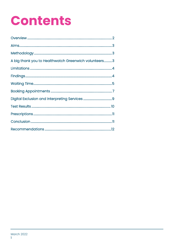### **Contents**

| A big thank you to Healthwatch Greenwich volunteers3 |  |
|------------------------------------------------------|--|
|                                                      |  |
|                                                      |  |
|                                                      |  |
|                                                      |  |
|                                                      |  |
|                                                      |  |
|                                                      |  |
|                                                      |  |
|                                                      |  |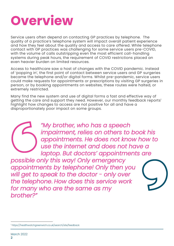

Service users often depend on contacting GP practices by telephone. The quality of a practice's telephone system will impact overall patient experience and how they feel about the quality and access to care offered. While telephone contact with GP practices was challenging for some service users pre-COVID, with the volume of calls outstripping even the most efficient call-handling systems during peak hours, the requirement of COVID restrictions placed an even heavier burden on limited resources.

Access to healthcare saw a host of changes with the COVID pandemic. Instead of 'popping in', the first point of contact between service users and GP surgeries became the telephone and/or digital forms. Whilst pre-pandemic, service users could make requests for appointments or prescriptions by visiting GP surgeries in person, or by booking appointments on websites, these routes were halted, or extremely restricted.

Many find the new system and use of digital forms a fast and effective way of getting the care and support they need. However, our monthly feedback reports 1 highlight how changes to access are not positive for all and have a disproportionately poor impact on some groups.



*"My brother, who has a speech impairment, relies on others to book his appointments. He does not know how to use the internet and does not have a laptop. But doctors' appointments are* 

*possible only this way! Only emergency appointments by telephone! Only then you will get to speak to the doctor - only over the telephone*. *How does this service work for many who are the same as my brother?"*



<sup>1</sup> https://healthwatchgreenwich.co.uk/search/site/feedback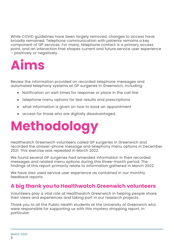While COVID guidelines have been largely removed, changes to access have broadly remained. Telephone communication with patients remains a key component of GP services. For many, telephone contact is a primary access point, and an interaction that shapes current and future service user experience – positively or negatively.



Review the information provided on recorded telephone messages and automated telephony systems at GP surgeries in Greenwich, including:

- Notification on wait times for response or place in the call line
- telephone menu options for test results and prescriptions
- what information is given on how to book an appointment
- access for those who are digitally disadvantaged.

## **Methodology**

Healthwatch Greenwich volunteers called GP surgeries in Greenwich and recorded the answer-phone message and telephony menu options in December 2021. This exercise was repeated in March 2022.

We found several GP surgeries had amended information in their recorded messages and related menu options during this three-month period. The findings of this report primarily relate to information gathered in March 2022.

We have also used service user experience as contained in our monthly feedback reports.

#### **A big thank you to Healthwatch Greenwich volunteers**

Volunteers play a vital role at Healthwatch Greenwich in helping people share their views and experiences and taking part in our research projects.

Thank you to all the Public Health students at the University of Greenwich who were responsible for supporting us with this mystery shopping report, in particular: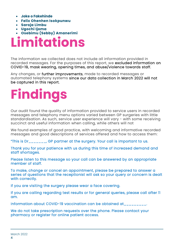- **Joke o Fakehinde**
- **Felix Ohenhen Isokpunwu**
- **Saroja Limbu**
- **Ugochi Ijoma**
- **Osebimu (Sebby) Amanerimi**

### **Limitations**

The information we collected does not include all information provided in recorded messages. For the purposes of this report, we excluded information on COVID-19, mask wearing, opening times, and abuse/violence towards staff.

Any changes, or further improvements, made to recorded messages or automated telephony systems since our data collection in March 2022 will not be captured in this report.

## **Findings**

Our audit found the quality of information provided to service users in recorded messages and telephony menu options varied between GP surgeries with little standardisation. As such, service user experience will vary - with some receiving succinct and useful information when calling, while others will not

We found examples of good practice, with welcoming and informative recorded messages and good descriptions of services offered and how to access them:

"This is Dr\_\_\_\_\_\_\_, GP partner at the surgery. Your call is important to us.

Thank you for your patience with us during this time of increased demand and staff shortages.

Please listen to this message so your call can be answered by an appropriate member of staff.

To make, change or cancel an appointment, please be prepared to answer a series of questions that the receptionist will ask so your query or concern is dealt with correctly.

If you are visiting the surgery please wear a face covering.

If you are calling regarding test results or for general queries, please call after 11 am.

Information about COVID-19 vaccination can be obtained at\_\_\_\_\_\_\_\_\_.

We do not take prescription requests over the phone. Please contact your pharmacy or register for online patient access.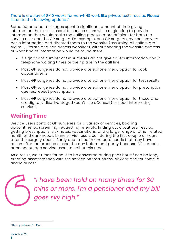#### There is a delay of 8-10 weeks for non-NHS work like private tests results. Please listen to the following options…"

Some automated messages spent a significant amount of time giving information that is less useful to service users while neglecting to provide information that would make the calling process more efficient for both the service user and the GP surgery. For example, one GP surgery gave callers very basic information and directed them to the website (assuming all callers are digitally literate and can access websites), without sharing the website address or what kind of information would be found there.

- A significant number of GP surgeries do not give callers information about telephone waiting times or their place in the call line.
- Most GP surgeries do not provide a telephone menu option to book appointments
- Most GP surgeries do not provide a telephone menu option for test results.
- Most GP surgeries do not provide a telephone menu option for prescription queries/repeat prescriptions.
- Most GP surgeries do not provide a telephone menu option for those who are digitally disadvantaged (can't use eConsult) or need interpreting services.

#### **Waiting Time**

Service users contact GP surgeries for a variety of services, booking appointments, screening, requesting referrals, finding out about test results, getting prescriptions, sick notes, vaccinations, and a large range of other related health and care needs. Many service users call during the first couple of hours after the surgery opens. Partly due to health and care needs that may have arisen after the practice closed the day before and partly because GP surgeries often encourage service users to call at this time.

As a result, wait times for calls to be answered during peak hours<sup>2</sup> can be long, creating dissatisfaction with the service offered, stress, anxiety, and for some, a financial cost.

> *"I have been hold on many times for 30 mins or more. I'm a pensioner and my bill goes sky high."*

<sup>2</sup> Usually between 8 – 10am.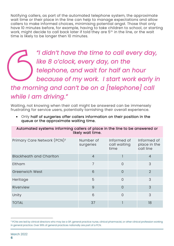Notifying callers, as part of the automated telephone system, the approximate wait time or their place in the line can help to manage expectations and allow callers to make informed choices, minimising potential angst. Those that only have 10 minutes before, for example, having to take children to school, or starting work, might decide to call back later if told they are 5<sup>th</sup> in the line, or the wait time is likely to be longer then 10 minutes.

*"I didn't have the time to call every day, like 8 o'clock, every day, on the telephone, and wait for half an hour because of my work. I start work early in the morning and can't be on a [telephone] call while I am driving."* 

Waiting, not knowing when their call might be answered can be immensely frustrating for service users, potentially tarnishing their overall experience.

• Only half of surgeries offer callers information on their position in the queue or the approximate waiting time.

Automated systems informing callers of place in the line to be answered or likely wait time.

| Primary Care Network (PCN) <sup>3</sup> | Number of<br>surgeries | Informed of<br>call waiting<br>time | Informed of<br>place in the<br>call line |
|-----------------------------------------|------------------------|-------------------------------------|------------------------------------------|
| <b>Blackheath and Charlton</b>          | $\overline{4}$         |                                     | $\overline{4}$                           |
| Eltham                                  | $\overline{7}$         | $\Omega$                            | 3                                        |
| <b>Greenwich West</b>                   | 6                      | $\overline{0}$                      | $\overline{2}$                           |
| Heritage                                | 5                      | $\Omega$                            | 3                                        |
| Riverview                               | 9                      | $\Omega$                            | 3                                        |
| Unity                                   | 6                      | $\Omega$                            | 3                                        |
| <b>TOTAL</b>                            | 37                     |                                     | 18                                       |

<sup>&</sup>lt;sup>3</sup> PCNs are led by clinical directors who may be a GP, general practice nurse, clinical pharmacist, or other clinical profession working in general practice. Over 99% of general practices nationally are part of a PCN.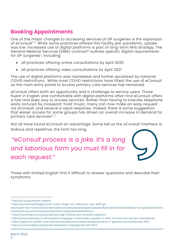### **Booking Appointments**

One of the major changes to accessing services at GP surgeries is the expansion of eConsult<sup>4 5</sup>. While some practices offered this facility pre-pandemic, uptake was low. Increased use of digital platforms is part of long-term NHS strategy. The General Medical Services (GMS) contract<sup>6</sup> outlines specific digital requirements for GP surgeries<sup>7</sup>, including:

- all practices offering online consultations by April 2020
- all practices offering video consultations by April 2021

The use of digital platforms was mandated and further escalated by national COVID restrictions. While most COVID restrictions have lifted, the use of eConsult as the main entry portal to access primary care services has remained.

eConsult offers both an opportunity and a challenge to service users. Those fluent in English and comfortable with digital platforms often find eConsult offers a fast and easy way to access services. Rather than having to tolerate telephone waits tortured by incessant 'hold' music, many can now make an easy request via eConsult, and receive a rapid response. Indeed, there is some suggestion that easier access for some groups has driven an overall increase in demand for primary care services<sup>89</sup>. .

Not all have found eConsult an advantage. Some tell us the eConsult interface is tedious and repetitive, the form too long.

*"eConsult process is a joke. It's a long and laborious form you must fill in for each request."*



Those with limited English find it difficult to answer questions and describe their symptoms.

<sup>4</sup> https://eConsult.net/nhs-patients

<sup>5</sup> https://econsult.net/blog/econsult-online-triage-now-offered-by-over-3000-gp-

practices#:~:text=Over%203%20million%20eConsults%20have%20been%20submitted%20in%20the%20UK&text=During%20the%20COVI D%2D19%20crisis,remain%20protected%20from%20potential%20infection.

<sup>6</sup> https://www.kingsfund.org.uk/publications/gp-funding-and-contracts-explained

<sup>7</sup> https://www.pulsetoday.co.uk/news/technology/gps-contractually-required-to-offer-and-promote-remote-consultations/

<sup>8</sup> https://digital.nhs.uk/data-and-information/publications/statistical/appointments-in-general-practice/february-2022

<sup>9</sup> https://commonslibrary.parliament.uk/research-briefings/cdp-2021-0167/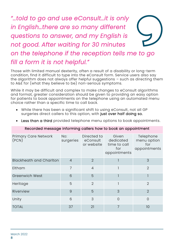### *"…told to go and use eConsult…it is only in English…there are so many different questions to answer, and my English is not good. After waiting for 30 minutes on the telephone if the reception tells me to go fill a form it is not helpful."*

Those with limited manual dexterity, often a result of a disability or long-term condition, find it difficult to type into the eConsult form. Service users also say the algorithm does not always offer helpful suggestions  $-$  such as directing them to A&E for (what they believe to be) non-serious symptoms.

While it may be difficult and complex to make changes to eConsult algorithms and format, greater consideration should be given to providing an easy option for patients to book appointments on the telephone using an automated menu choice rather than a specific time to call back.

• While there has been a significant shift to using eConsult, not all GP surgeries direct callers to this option, with just over half doing so.

|  |  |  | • Less than a third provided telephone menu options to book appointments. |  |  |
|--|--|--|---------------------------------------------------------------------------|--|--|
|--|--|--|---------------------------------------------------------------------------|--|--|

| <b>Primary Care Network</b><br>(PCN) | No:<br>surgeries | Directed to<br>eConsult<br>or website | Given<br>dedicated<br>time to call<br>for<br>appointments | Telephone<br>menu option<br>for<br>appointments |
|--------------------------------------|------------------|---------------------------------------|-----------------------------------------------------------|-------------------------------------------------|
| <b>Blackheath and Charlton</b>       | $\overline{4}$   | $\overline{2}$                        |                                                           | 3                                               |
| Eltham                               | 7                | $\overline{4}$                        |                                                           | $\overline{2}$                                  |
| <b>Greenwich West</b>                | 6                | 5                                     |                                                           |                                                 |
| Heritage                             | 5                | $\overline{2}$                        |                                                           | $\overline{2}$                                  |
| Riverview                            | 9                | 5                                     | 3                                                         | $\overline{2}$                                  |
| Unity                                | 6                | 3                                     | $\overline{0}$                                            | $\overline{0}$                                  |
| <b>TOTAL</b>                         | 37               | 21                                    | 7                                                         | 10                                              |

#### Recorded message informing callers how to book an appointment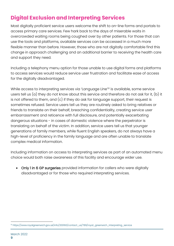### **Digital Exclusion and Interpreting Services**

Most digitally proficient service users welcome the shift to on-line forms and portals to access primary care services. Few hark back to the days of miserable waits in overcrowded waiting rooms being coughed over by other patients. For those that can use the tools and platforms, available services can be accessed in a much more flexible manner than before. However, those who are not digitally comfortable find this change in approach challenging and an additional barrier to receiving the health care and support they need.

Including a telephony menu option for those unable to use digital forms and platforms to access services would reduce service user frustration and facilitate ease of access for the digitally disadvantaged.

While access to interpreting services via 'Language Line' <sup>10</sup> is available, some service users tell us (a) they do not know about this service and therefore do not ask for it, (b) it is not offered to them, and (c) if they do ask for language support, their request is sometimes refused. Service users tell us they are routinely asked to bring relatives or friends to translate on their behalf, breaching confidentiality, creating service user embarrassment and reticence with full disclosure, and potentially exacerbating dangerous situations - in cases of domestic violence where the perpetrator is translating on behalf of the victim. In addition, service users tell us that younger generations of family members, while fluent English speakers, do not always have a high-level of proficiency in the family language and are often unable to translate complex medical information.

Including information on access to interpreting services as part of an automated menu choice would both raise awareness of this facility and encourage wider use.

• Only 1 in 6 GP surgeries provided information for callers who were digitally disadvantaged or for those who required interpreting services.

<sup>10</sup> https://www.royalgreenwich.gov.uk/info/200160/contact\_us/789/royal\_greenwich\_interpreting\_service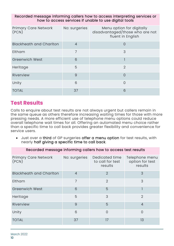#### Recorded message informing callers how to access interpreting services or how to access services if unable to use digital tools

| <b>Primary Care Network</b><br>(PCN) | No: surgeries  | Menu option for digitally<br>disadvantaged/those who are not<br>fluent in English |
|--------------------------------------|----------------|-----------------------------------------------------------------------------------|
| <b>Blackheath and Charlton</b>       | $\overline{4}$ | $\Omega$                                                                          |
| Eltham                               | $\overline{7}$ | 3                                                                                 |
| <b>Greenwich West</b>                | 6              |                                                                                   |
| Heritage                             | 5              | $\overline{2}$                                                                    |
| Riverview                            | 9              | $\Omega$                                                                          |
| Unity                                | 6              | $\Omega$                                                                          |
| <b>TOTAL</b>                         | 37             | 6                                                                                 |

#### **Test Results**

Calls to enquire about test results are not always urgent but callers remain in the same queue as others therefore increasing waiting times for those with more pressing needs. A more efficient use of telephone menu options could reduce overall telephone wait times for all. Offering an automated menu choice rather than a specific time to call back provides greater flexibility and convenience for service users.

• Just over a third of GP surgeries offer a menu option for test results, with nearly half giving a specific time to call back.

Recorded message informing callers how to access test results

| <b>Primary Care Network</b><br>(PCN) | No: surgeries  | Dedicated time<br>to call for test<br>results | Telephone menu<br>option for test<br>results |
|--------------------------------------|----------------|-----------------------------------------------|----------------------------------------------|
| <b>Blackheath and Charlton</b>       | $\overline{4}$ | $\overline{2}$                                | 3                                            |
| Eltham                               | 7              | $\overline{2}$                                | 3                                            |
| <b>Greenwich West</b>                | 6              | 5                                             |                                              |
| Heritage                             | 5              | 3                                             | $\overline{2}$                               |
| Riverview                            | $\overline{9}$ | 5                                             | $\overline{4}$                               |
| Unity                                | 6              | $\Omega$                                      | $\overline{0}$                               |
| <b>TOTAL</b>                         | 37             | 17                                            | 13                                           |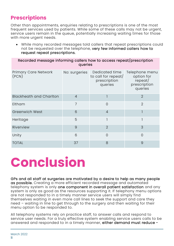#### **Prescriptions**

Other than appointments, enquiries relating to prescriptions is one of the most frequent services used by patients. While some of these calls may not be urgent, service users remain in the queue, potentially increasing waiting times for those with more urgent needs.

• While many recorded messages told callers that repeat prescriptions could not be requested over the telephone, very few informed callers how to request repeat prescriptions.

Recorded message informing callers how to access repeat/prescription queries

| <b>Primary Care Network</b><br>(PCN) | No: surgeries  | Dedicated time<br>to call for repeat/<br>prescription<br>queries | Telephone menu<br>option for<br>repect/<br>prescription<br>queries |
|--------------------------------------|----------------|------------------------------------------------------------------|--------------------------------------------------------------------|
| <b>Blackheath and Charlton</b>       | $\overline{4}$ |                                                                  | $\overline{2}$                                                     |
| Eltham                               | $\overline{7}$ | $\overline{0}$                                                   | $\overline{2}$                                                     |
| <b>Greenwich West</b>                | 6              | $\overline{4}$                                                   |                                                                    |
| Heritage                             | 5              |                                                                  |                                                                    |
| Riverview                            | 9              | $\mathfrak{D}$                                                   | 3                                                                  |
| Unity                                | 6              | $\Omega$                                                         | $\Omega$                                                           |
| <b>TOTAL</b>                         | 37             | 8                                                                | 9                                                                  |

## **Conclusion**

GPs and all staff at surgeries are motivated by a desire to help as many people as possible. Creating a more efficient recorded message and automated telephony system is only one component in overall patient satisfaction and any system is only as good as the resources supporting it. If telephony menu options are not responded to in a timely manner service users will simply find themselves waiting in even more call lines to seek the support and care they need – waiting in line to get through to the surgery and then waiting for their menu option to be responded to.

All telephony systems rely on practice staff, to answer calls and respond to service user needs. For a truly effective system enabling service users calls to be answered and responded to in a timely manner, either demand must reduce -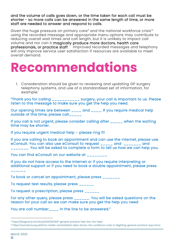and the volume of calls goes down, or the time taken for each call must be shorter - so more calls can be answered in the same length of time, or more staff are needed to answer and respond to calls.

Given the huge pressure on primary care<sup> $\theta$ </sup> and the national workforce crisis<sup>12</sup> using the recorded message and appropriate menu options may contribute to reducing overall wait times and call length, but it is unlikely to impact call volume and nor can it magically produce more doctors, health care professionals, or practice staff. Improved recorded messages and telephony will only improve service user satisfaction if resources are available to meet overall demand.

### **Recommendations**

1. Consideration should be given to reviewing and updating GP surgery telephony systems, and use of a standardised set of information, for example:

"Thank you for calling \_\_\_\_\_\_\_\_\_\_\_ surgery, your call is important to us. Please listen to this message to make sure you get the help you need.

Our opening times are between \_\_\_\_ and \_\_\_\_. If you require medical help outside of this time, please call\_\_\_\_\_

If you call is not urgent, please consider calling after \_\_\_\_\_ when the waiting time may be shorter.

If you require urgent medical help – please ring 111

If you are calling to book an appointment and can use the internet, please use eConsult. You can also use eConsult to request \_\_\_\_\_ and \_\_\_\_\_\_\_ and \_\_\_\_\_\_\_. You will be asked to complete a form to tell us how we can help you.

You can find eConsult on our website at \_\_\_\_\_\_\_

If you do not have access to the internet or if you require interpreting or additional support or if you need to book a double appointment, please press

 $\_$   $\_$   $\_$   $\_$   $\_$ 

To book or cancel an appointment, please press \_\_\_\_\_\_\_

To request test results, please press \_\_\_\_\_\_

To request a prescription, please press \_\_\_\_\_\_

For any other query, please press \_\_\_\_\_\_. You will be asked questions on the reason for your call so we can make sure you get the help you need

You are call number\_\_\_\_ in the line to be answered."

<sup>&</sup>lt;sup>11</sup> https://blogs.bmj.com/bmj/2021/05/14/if-general-practice-fails-the-nhs-fails/

<sup>&</sup>lt;sup>12</sup> https://www.bma.org.uk/bma-media-centre/latest-data-shows-nhs-workforce-crisis-is-blighting-general-practice-says-bma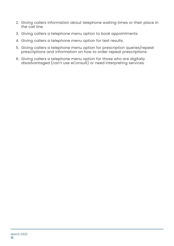- 2. Giving callers information about telephone waiting times or their place in the call line.
- 3. Giving callers a telephone menu option to book appointments
- 4. Giving callers a telephone menu option for test results.
- 5. Giving callers a telephone menu option for prescription queries/repeat prescriptions and information on how to order repeat prescriptions.
- 6. Giving callers a telephone menu option for those who are digitally disadvantaged (can't use eConsult) or need interpreting services.